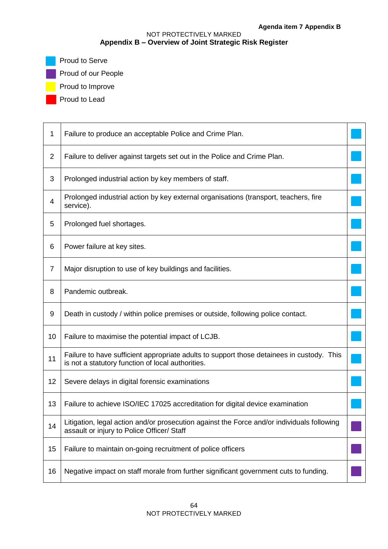# NOT PROTECTIVELY MARKED **Appendix B – Overview of Joint Strategic Risk Register**

**Proud to Serve** 

**Proud of our People** 

**Proud to Improve** 

Proud to Lead

| 1              | Failure to produce an acceptable Police and Crime Plan.                                                                                        |  |  |  |  |
|----------------|------------------------------------------------------------------------------------------------------------------------------------------------|--|--|--|--|
| $\overline{2}$ | Failure to deliver against targets set out in the Police and Crime Plan.                                                                       |  |  |  |  |
| 3              | Prolonged industrial action by key members of staff.                                                                                           |  |  |  |  |
| 4              | Prolonged industrial action by key external organisations (transport, teachers, fire<br>service).                                              |  |  |  |  |
| 5              | Prolonged fuel shortages.                                                                                                                      |  |  |  |  |
| 6              | Power failure at key sites.                                                                                                                    |  |  |  |  |
| $\overline{7}$ | Major disruption to use of key buildings and facilities.                                                                                       |  |  |  |  |
| 8              | Pandemic outbreak.                                                                                                                             |  |  |  |  |
| 9              | Death in custody / within police premises or outside, following police contact.                                                                |  |  |  |  |
| 10             | Failure to maximise the potential impact of LCJB.                                                                                              |  |  |  |  |
| 11             | Failure to have sufficient appropriate adults to support those detainees in custody. This<br>is not a statutory function of local authorities. |  |  |  |  |
| 12             | Severe delays in digital forensic examinations                                                                                                 |  |  |  |  |
| 13             | Failure to achieve ISO/IEC 17025 accreditation for digital device examination                                                                  |  |  |  |  |
| 14             | Litigation, legal action and/or prosecution against the Force and/or individuals following<br>assault or injury to Police Officer/ Staff       |  |  |  |  |
| 15             | Failure to maintain on-going recruitment of police officers                                                                                    |  |  |  |  |
| 16             | Negative impact on staff morale from further significant government cuts to funding.                                                           |  |  |  |  |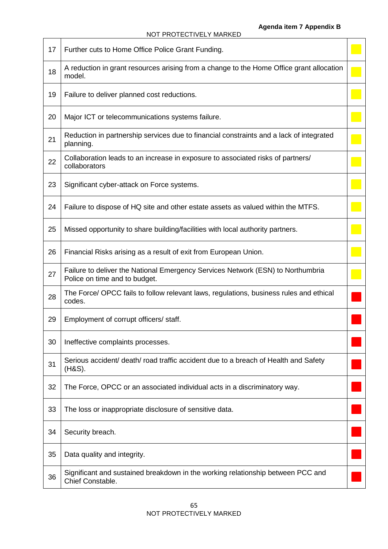| 17 | Further cuts to Home Office Police Grant Funding.                                                                |  |  |  |  |
|----|------------------------------------------------------------------------------------------------------------------|--|--|--|--|
| 18 | A reduction in grant resources arising from a change to the Home Office grant allocation<br>model.               |  |  |  |  |
| 19 | Failure to deliver planned cost reductions.                                                                      |  |  |  |  |
| 20 | Major ICT or telecommunications systems failure.                                                                 |  |  |  |  |
| 21 | Reduction in partnership services due to financial constraints and a lack of integrated<br>planning.             |  |  |  |  |
| 22 | Collaboration leads to an increase in exposure to associated risks of partners/<br>collaborators                 |  |  |  |  |
| 23 | Significant cyber-attack on Force systems.                                                                       |  |  |  |  |
| 24 | Failure to dispose of HQ site and other estate assets as valued within the MTFS.                                 |  |  |  |  |
| 25 | Missed opportunity to share building/facilities with local authority partners.                                   |  |  |  |  |
| 26 | Financial Risks arising as a result of exit from European Union.                                                 |  |  |  |  |
| 27 | Failure to deliver the National Emergency Services Network (ESN) to Northumbria<br>Police on time and to budget. |  |  |  |  |
| 28 | The Force/ OPCC fails to follow relevant laws, regulations, business rules and ethical<br>codes.                 |  |  |  |  |
| 29 | Employment of corrupt officers/ staff.                                                                           |  |  |  |  |
| 30 | Ineffective complaints processes.                                                                                |  |  |  |  |
| 31 | Serious accident/ death/ road traffic accident due to a breach of Health and Safety<br>(H&S).                    |  |  |  |  |
| 32 | The Force, OPCC or an associated individual acts in a discriminatory way.                                        |  |  |  |  |
| 33 | The loss or inappropriate disclosure of sensitive data.                                                          |  |  |  |  |
| 34 | Security breach.                                                                                                 |  |  |  |  |
| 35 | Data quality and integrity.                                                                                      |  |  |  |  |
| 36 | Significant and sustained breakdown in the working relationship between PCC and<br>Chief Constable.              |  |  |  |  |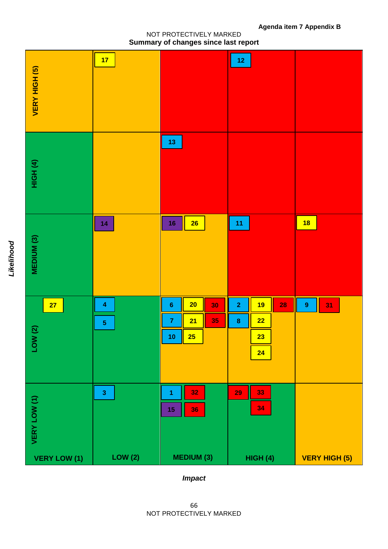## NOT PROTECTIVELY MARKED

# *Impact*

| Summary of changes since last report |                              |                                                         |                                                                               |                        |  |  |  |
|--------------------------------------|------------------------------|---------------------------------------------------------|-------------------------------------------------------------------------------|------------------------|--|--|--|
| VERY HIGH (5)                        | 17                           |                                                         | $12$                                                                          |                        |  |  |  |
| HIGH <sup>(4)</sup>                  |                              | $13$                                                    |                                                                               |                        |  |  |  |
| MEDIUM (3)                           | 14                           | $26\overline{ }$<br>16                                  | 11                                                                            | 18                     |  |  |  |
| 27<br>LOW(2)                         | 4<br>$\overline{\mathbf{5}}$ | 20<br>$\bf 6$<br>30<br>35<br>21<br>7<br><b>25</b><br>10 | $\overline{\mathbf{2}}$<br><b>19</b><br>28<br>22<br>$\bf8$<br>23<br><b>24</b> | $\boldsymbol{9}$<br>31 |  |  |  |
| VERY LOW (1)<br><b>VERY LOW (1)</b>  | $\mathbf{3}$<br>LOW(2)       | 32<br>1<br>36<br>$15\,$<br><b>MEDIUM (3)</b>            | 33<br>29<br>34<br>HIGH(4)                                                     | <b>VERY HIGH (5)</b>   |  |  |  |

NOT PROTECTIVELY MARKED

**Agenda item 7 Appendix B**